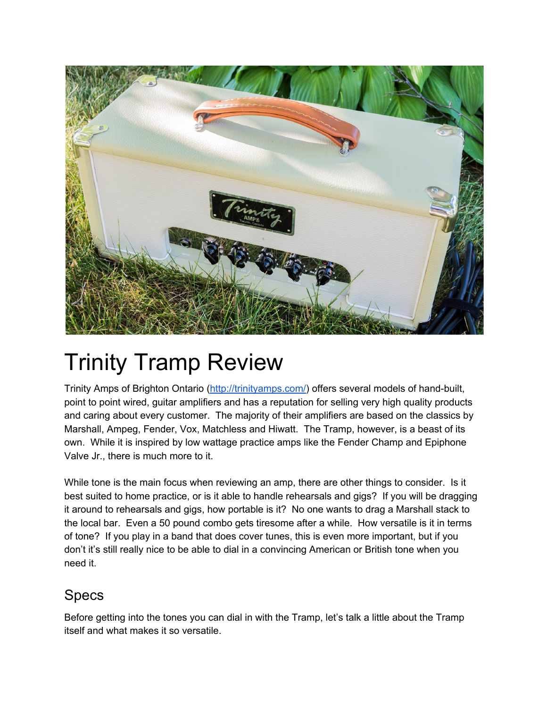

# Trinity Tramp Review

Trinity Amps of Brighton Ontario [\(http://trinityamps.com/\)](http://trinityamps.com/) offers several models of hand-built, point to point wired, guitar amplifiers and has a reputation for selling very high quality products and caring about every customer. The majority of their amplifiers are based on the classics by Marshall, Ampeg, Fender, Vox, Matchless and Hiwatt. The Tramp, however, is a beast of its own. While it is inspired by low wattage practice amps like the Fender Champ and Epiphone Valve Jr., there is much more to it.

While tone is the main focus when reviewing an amp, there are other things to consider. Is it best suited to home practice, or is it able to handle rehearsals and gigs? If you will be dragging it around to rehearsals and gigs, how portable is it? No one wants to drag a Marshall stack to the local bar. Even a 50 pound combo gets tiresome after a while. How versatile is it in terms of tone? If you play in a band that does cover tunes, this is even more important, but if you don't it's still really nice to be able to dial in a convincing American or British tone when you need it.

### Specs

Before getting into the tones you can dial in with the Tramp, let's talk a little about the Tramp itself and what makes it so versatile.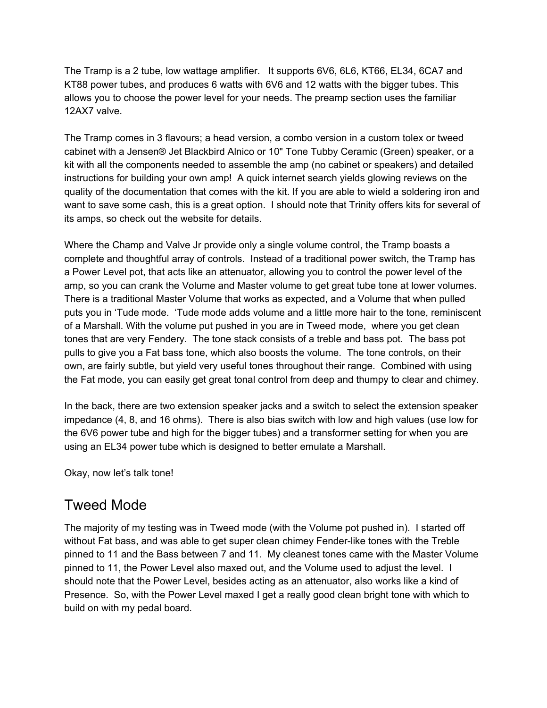The Tramp is a 2 tube, low wattage amplifier. It supports 6V6, 6L6, KT66, EL34, 6CA7 and KT88 power tubes, and produces 6 watts with 6V6 and 12 watts with the bigger tubes. This allows you to choose the power level for your needs. The preamp section uses the familiar 12AX7 valve.

The Tramp comes in 3 flavours; a head version, a combo version in a custom tolex or tweed cabinet with a Jensen® Jet Blackbird Alnico or 10" Tone Tubby Ceramic (Green) speaker, or a kit with all the components needed to assemble the amp (no cabinet or speakers) and detailed instructions for building your own amp! A quick internet search yields glowing reviews on the quality of the documentation that comes with the kit. If you are able to wield a soldering iron and want to save some cash, this is a great option. I should note that Trinity offers kits for several of its amps, so check out the website for details.

Where the Champ and Valve Jr provide only a single volume control, the Tramp boasts a complete and thoughtful array of controls. Instead of a traditional power switch, the Tramp has a Power Level pot, that acts like an attenuator, allowing you to control the power level of the amp, so you can crank the Volume and Master volume to get great tube tone at lower volumes. There is a traditional Master Volume that works as expected, and a Volume that when pulled puts you in 'Tude mode. 'Tude mode adds volume and a little more hair to the tone, reminiscent of a Marshall. With the volume put pushed in you are in Tweed mode, where you get clean tones that are very Fendery. The tone stack consists of a treble and bass pot. The bass pot pulls to give you a Fat bass tone, which also boosts the volume. The tone controls, on their own, are fairly subtle, but yield very useful tones throughout their range. Combined with using the Fat mode, you can easily get great tonal control from deep and thumpy to clear and chimey.

In the back, there are two extension speaker jacks and a switch to select the extension speaker impedance (4, 8, and 16 ohms). There is also bias switch with low and high values (use low for the 6V6 power tube and high for the bigger tubes) and a transformer setting for when you are using an EL34 power tube which is designed to better emulate a Marshall.

Okay, now let's talk tone!

### Tweed Mode

The majority of my testing was in Tweed mode (with the Volume pot pushed in). I started off without Fat bass, and was able to get super clean chimey Fender-like tones with the Treble pinned to 11 and the Bass between 7 and 11. My cleanest tones came with the Master Volume pinned to 11, the Power Level also maxed out, and the Volume used to adjust the level. I should note that the Power Level, besides acting as an attenuator, also works like a kind of Presence. So, with the Power Level maxed I get a really good clean bright tone with which to build on with my pedal board.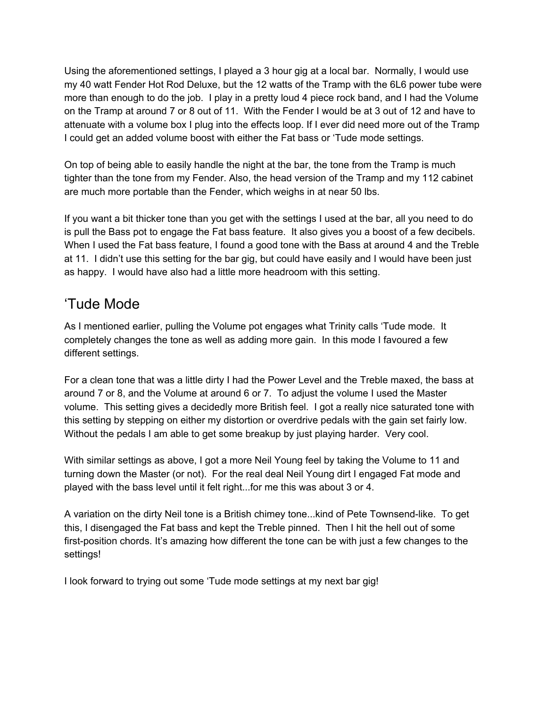Using the aforementioned settings, I played a 3 hour gig at a local bar. Normally, I would use my 40 watt Fender Hot Rod Deluxe, but the 12 watts of the Tramp with the 6L6 power tube were more than enough to do the job. I play in a pretty loud 4 piece rock band, and I had the Volume on the Tramp at around 7 or 8 out of 11. With the Fender I would be at 3 out of 12 and have to attenuate with a volume box I plug into the effects loop. If I ever did need more out of the Tramp I could get an added volume boost with either the Fat bass or 'Tude mode settings.

On top of being able to easily handle the night at the bar, the tone from the Tramp is much tighter than the tone from my Fender. Also, the head version of the Tramp and my 112 cabinet are much more portable than the Fender, which weighs in at near 50 lbs.

If you want a bit thicker tone than you get with the settings I used at the bar, all you need to do is pull the Bass pot to engage the Fat bass feature. It also gives you a boost of a few decibels. When I used the Fat bass feature, I found a good tone with the Bass at around 4 and the Treble at 11. I didn't use this setting for the bar gig, but could have easily and I would have been just as happy. I would have also had a little more headroom with this setting.

#### 'Tude Mode

As I mentioned earlier, pulling the Volume pot engages what Trinity calls 'Tude mode. It completely changes the tone as well as adding more gain. In this mode I favoured a few different settings.

For a clean tone that was a little dirty I had the Power Level and the Treble maxed, the bass at around 7 or 8, and the Volume at around 6 or 7. To adjust the volume I used the Master volume. This setting gives a decidedly more British feel. I got a really nice saturated tone with this setting by stepping on either my distortion or overdrive pedals with the gain set fairly low. Without the pedals I am able to get some breakup by just playing harder. Very cool.

With similar settings as above, I got a more Neil Young feel by taking the Volume to 11 and turning down the Master (or not). For the real deal Neil Young dirt I engaged Fat mode and played with the bass level until it felt right...for me this was about 3 or 4.

A variation on the dirty Neil tone is a British chimey tone...kind of Pete Townsend-like. To get this, I disengaged the Fat bass and kept the Treble pinned. Then I hit the hell out of some first-position chords. It's amazing how different the tone can be with just a few changes to the settings!

I look forward to trying out some 'Tude mode settings at my next bar gig!